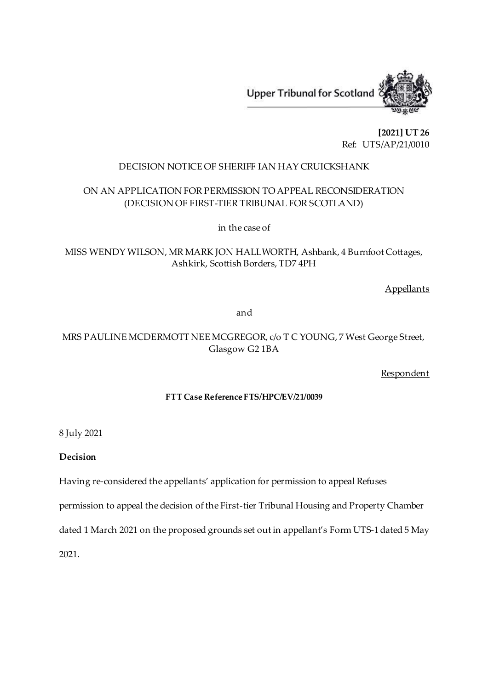

**[2021] UT 26** Ref: UTS/AP/21/0010

## DECISION NOTICE OF SHERIFF IAN HAY CRUICKSHANK

# ON AN APPLICATION FOR PERMISSION TO APPEAL RECONSIDERATION (DECISION OF FIRST-TIER TRIBUNAL FOR SCOTLAND)

in the case of

MISS WENDY WILSON, MR MARK JON HALLWORTH, Ashbank, 4 Burnfoot Cottages, Ashkirk, Scottish Borders, TD7 4PH

**Appellants** 

and

# MRS PAULINE MCDERMOTT NEE MCGREGOR, c/o T C YOUNG, 7 West George Street, Glasgow G2 1BA

Respondent

## **FTT Case Reference FTS/HPC/EV/21/0039**

8 July 2021

**Decision**

Having re-considered the appellants' application for permission to appeal Refuses

permission to appeal the decision of the First-tier Tribunal Housing and Property Chamber

dated 1 March 2021 on the proposed grounds set out in appellant's Form UTS-1 dated 5 May

2021.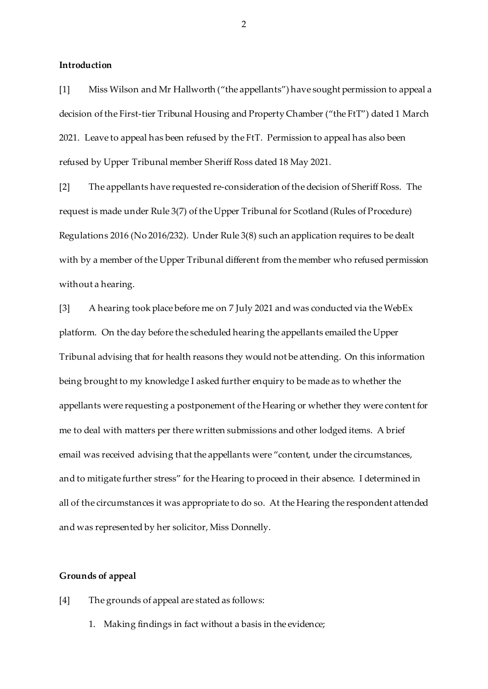#### **Introduction**

[1] Miss Wilson and Mr Hallworth ("the appellants") have sought permission to appeal a decision of the First-tier Tribunal Housing and Property Chamber ("the FtT") dated 1 March 2021. Leave to appeal has been refused by the FtT. Permission to appeal has also been refused by Upper Tribunal member Sheriff Ross dated 18 May 2021.

[2] The appellants have requested re-consideration of the decision of Sheriff Ross. The request is made under Rule 3(7) of the Upper Tribunal for Scotland (Rules of Procedure) Regulations 2016 (No 2016/232). Under Rule 3(8) such an application requires to be dealt with by a member of the Upper Tribunal different from the member who refused permission without a hearing.

[3] A hearing took place before me on 7 July 2021 and was conducted via the WebEx platform. On the day before the scheduled hearing the appellants emailed the Upper Tribunal advising that for health reasons they would not be attending. On this information being brought to my knowledge I asked further enquiry to be made as to whether the appellants were requesting a postponement of the Hearing or whether they were content for me to deal with matters per there written submissions and other lodged items. A brief email was received advising that the appellants were "content, under the circumstances, and to mitigate further stress" for the Hearing to proceed in their absence. I determined in all of the circumstances it was appropriate to do so. At the Hearing the respondent attended and was represented by her solicitor, Miss Donnelly.

#### **Grounds of appeal**

- [4] The grounds of appeal are stated as follows:
	- 1. Making findings in fact without a basis in the evidence;

2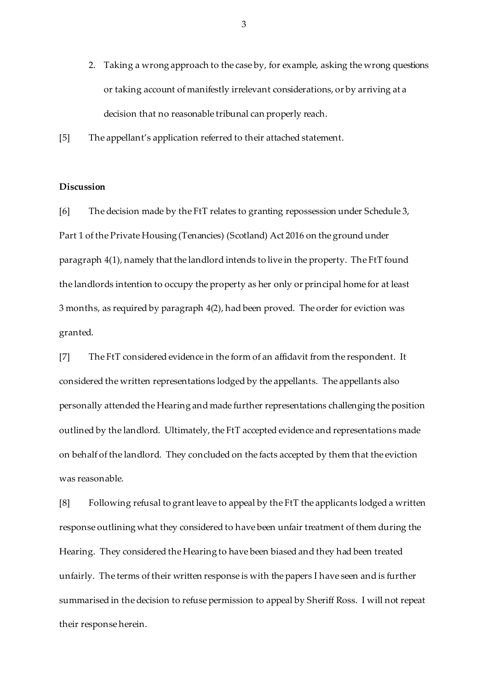- 2. Taking a wrong approach to the case by, for example, asking the wrong questions or taking account of manifestly irrelevant considerations, or by arriving at a decision that no reasonable tribunal can properly reach.
- [5] The appellant's application referred to their attached statement.

### **Discussion**

[6] The decision made by the FtT relates to granting repossession under Schedule 3, Part 1 of the Private Housing (Tenancies) (Scotland) Act 2016 on the ground under paragraph 4(1), namely that the landlord intends to live in the property. The FtT found the landlords intention to occupy the property as her only or principal home for at least 3 months, as required by paragraph 4(2), had been proved. The order for eviction was granted.

[7] The FtT considered evidence in the form of an affidavit from the respondent. It considered the written representations lodged by the appellants. The appellants also personally attended the Hearing and made further representations challenging the position outlined by the landlord. Ultimately, the FtT accepted evidence and representations made on behalf of the landlord. They concluded on the facts accepted by them that the eviction was reasonable.

[8] Following refusal to grant leave to appeal by the FtT the applicants lodged a written response outlining what they considered to have been unfair treatment of them during the Hearing. They considered the Hearing to have been biased and they had been treated unfairly. The terms of their written response is with the papers I have seen and is further summarised in the decision to refuse permission to appeal by Sheriff Ross. I will not repeat their response herein.

3